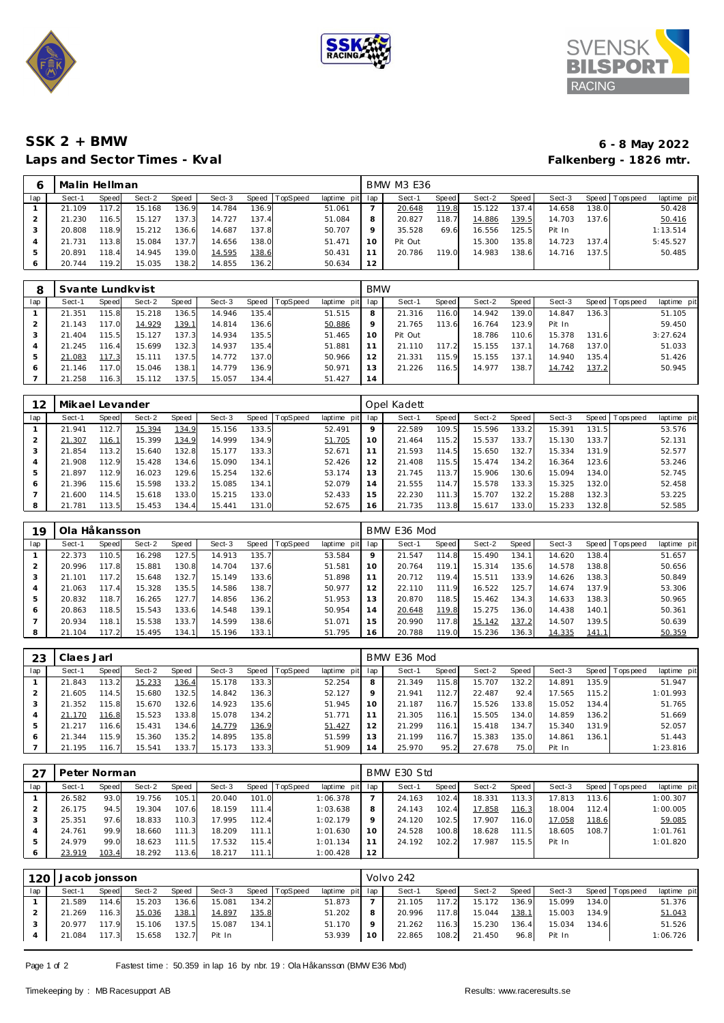





## **SSK 2 + BMW 6 - 8 May 2022** Laps and Sector Times - Kval

|     | Malin Hellman |       |        |       |        |       |          |             |     | <b>BMW M3 E36</b> |       |        |       |        |       |                 |             |
|-----|---------------|-------|--------|-------|--------|-------|----------|-------------|-----|-------------------|-------|--------|-------|--------|-------|-----------------|-------------|
| lap | Sect-1        | Speed | Sect-2 | Speed | Sect-3 | Speed | TopSpeed | laptime pit | lap | Sect-1            | Speed | Sect-2 | Speed | Sect-3 |       | Speed Tops peed | laptime pit |
|     | 21.109        |       | 15.168 | 136.9 | 14.784 | 136.9 |          | 51.061      |     | 20.648            | 119.8 | 15.122 | 137.4 | 14.658 | 138.0 |                 | 50.428      |
|     | 21.230        | 116.5 | 15.127 | 137.3 | 14.727 | 137.4 |          | 51.084      | 8   | 20.827            | 118.7 | 14.886 | 139.5 | 14.703 | 137.6 |                 | 50.416      |
| З   | 20.808        | 118.9 | 15.212 | 136.6 | 14.687 | 137.8 |          | 50.707      |     | 35.528            | 69.6  | 16.556 | 125.5 | Pit In |       |                 | 1:13.514    |
|     | 21.731        | 13.8  | 15.084 | 137.7 | 14.656 | 138.0 |          | 51.471      | 10  | Pit Out           |       | 15.300 | 135.8 | 14.723 | 137.4 |                 | 5:45.527    |
| ь   | 20.891        | 118.4 | 14.945 | 139.0 | 14.595 | 138.6 |          | 50.431      |     | 20.786            | 119.0 | 14.983 | 138.6 | 14.716 | 137.5 |                 | 50.485      |
| O   | 20.744        | 119.2 | 15.035 | 138.2 | 14.855 | 136.2 |          | 50.634      | 12  |                   |       |        |       |        |       |                 |             |

| 8   | Svante Lundkvist |       |        |              |        |       |                |             | <b>BMW</b> |         |       |        |       |        |       |                 |             |
|-----|------------------|-------|--------|--------------|--------|-------|----------------|-------------|------------|---------|-------|--------|-------|--------|-------|-----------------|-------------|
| lap | Sect-1           | Speed | Sect-2 | Speed        | Sect-3 |       | Speed TopSpeed | laptime pit | lap        | Sect-1  | Speed | Sect-2 | Speed | Sect-3 |       | Speed Tops peed | laptime pit |
|     | 21.351           | 115.8 | 15.218 | 136.5        | 14.946 | 135.4 |                | 51.515      | 8          | 21.316  | 116.0 | 14.942 | 139.0 | 14.847 | 136.3 |                 | 51.105      |
|     | 21.143           | 117.0 | 14.929 | <u>139.1</u> | 14.814 | 136.6 |                | 50.886      | 9          | 21.765  | 113.6 | 16.764 | 123.9 | Pit In |       |                 | 59.450      |
|     | .404<br>21       | 115.5 | 15.127 | 137.3        | 14.934 | 135.5 |                | 51.465      | 10         | Pit Out |       | 18.786 | 110.6 | 15.378 | 131.6 |                 | 3:27.624    |
| 4   | 21.245           | 116.4 | 15.699 | 132.3        | 14.937 | 135.4 |                | 51.881      |            | 21.110  | 117.2 | 15.155 | 137.1 | 14.768 | 137.0 |                 | 51.033      |
| 5   | 21.083           | 117.3 | 15.111 | 137.5        | 14.772 | 137.0 |                | 50.966      | 12         | 21.331  | 115.9 | 15.155 | 137.1 | 14.940 | 135.4 |                 | 51.426      |
| O   | 21.146           | 117.0 | 15.046 | 138.1        | 14.779 | 136.9 |                | 50.971      | 13         | 21.226  | 116.5 | 14.977 | 138.7 | 14.742 | 137.2 |                 | 50.945      |
|     | 21.258           | 116.3 | 15.112 | 137.5        | 15.057 | 134.4 |                | 51.427      | 14         |         |       |        |       |        |       |                 |             |

| 12  | Mikael Levander |              |        |       |        |       |          |             |              | Opel Kadett |       |        |       |        |       |                  |             |
|-----|-----------------|--------------|--------|-------|--------|-------|----------|-------------|--------------|-------------|-------|--------|-------|--------|-------|------------------|-------------|
| lap | Sect-1          | <b>Speed</b> | Sect-2 | Speed | Sect-3 | Speed | TopSpeed | laptime pit | lap          | Sect-1      | Speed | Sect-2 | Speed | Sect-3 | Speed | <b>Tops peed</b> | laptime pit |
|     | 21.941          | 112.7        | 15.394 | 134.9 | 15.156 | 133.5 |          | 52.491      | $\circ$      | 22.589      | 109.5 | 15.596 | 133.2 | 15.391 | 131.5 |                  | 53.576      |
|     | 21.307          | 116.1        | 15.399 | 134.9 | 14.999 | 134.9 |          | 51.705      | 10           | 21.464      | 115.2 | 15.537 | 133.7 | 15.130 | 133.7 |                  | 52.131      |
|     | 21.854          | 113.2        | 15.640 | 132.8 | 15.177 | 133.3 |          | 52.671      |              | 21.593      | 114.5 | 15.650 | 132.7 | 15.334 | 131.9 |                  | 52.577      |
| 4   | 21.908          | 112.9        | 15.428 | 134.6 | 15.090 | 134.1 |          | 52.426      | 12           | 21.408      | 115.5 | 15.474 | 134.2 | 16.364 | 123.6 |                  | 53.246      |
| 5   | .897            | 112.9        | 16.023 | 129.6 | 15.254 | 132.6 |          | 53.174      | $\mathbf{3}$ | 21.745      | 113.7 | 15.906 | 130.6 | 15.094 | 134.0 |                  | 52.745      |
|     | 21.396          | 115.6        | 15.598 | 133.2 | 15.085 | 134.1 |          | 52.079      | 14           | 21.555      | 114.7 | 15.578 | 133.3 | 15.325 | 132.0 |                  | 52.458      |
|     | 21.600          | 114.5        | 15.618 | 133.0 | 15.215 | 133.0 |          | 52.433      | 15           | 22.230      | 111.3 | 15.707 | 132.2 | 15.288 | 132.3 |                  | 53.225      |
|     | 21.781          | 113.5        | 15.453 | 134.4 | 15.441 | 131.0 |          | 52.675      | 16           | 21.735      | 113.8 | 15.617 | 133.0 | 15.233 | 132.8 |                  | 52.585      |

| 19  | Ola Håkansson |        |        |       |        |       |                 |                |         | BMW E36 Mod |       |        |       |        |       |                 |             |
|-----|---------------|--------|--------|-------|--------|-------|-----------------|----------------|---------|-------------|-------|--------|-------|--------|-------|-----------------|-------------|
| lap | Sect-1        | Speed  | Sect-2 | Speed | Sect-3 | Speed | <b>TopSpeed</b> | laptime<br>pit | lap     | Sect-1      | Speed | Sect-2 | Speed | Sect-3 |       | Speed Tops peed | laptime pit |
|     | 22.373        | 110.5  | 16.298 | 127.5 | 14.913 | 135.7 |                 | 53.584         | $\circ$ | 21.547      | 114.8 | 15.490 | 134.1 | 14.620 | 138.4 |                 | 51.657      |
|     | 20.996        | 117.8  | 15.881 | 130.8 | 14.704 | 137.6 |                 | 51.581         | 10      | 20.764      | 119.1 | 15.314 | 135.6 | 14.578 | 138.8 |                 | 50.656      |
|     | .101          | 117.2  | 15.648 | 132.7 | 15.149 | 133.6 |                 | 51.898         |         | 20.712      | 119.4 | 15.511 | 133.9 | 14.626 | 138.3 |                 | 50.849      |
|     | 21.063        | 117.4  | 15.328 | 135.5 | 14.586 | 138.7 |                 | 50.977         |         | 22.110      | 111.9 | 16.522 | 125.7 | 14.674 | 137.9 |                 | 53.306      |
|     | 20.832        | 118.7  | 16.265 | 127.7 | 14.856 | 136.2 |                 | 51.953         | 13      | 20.870      | 118.5 | 15.462 | 134.3 | 14.633 | 138.3 |                 | 50.965      |
| 6   | 20.863        | 118.5  | 15.543 | 133.6 | 14.548 | 139.1 |                 | 50.954         | 14      | 20.648      | 119.8 | 15.275 | 136.0 | 14.438 | 140.1 |                 | 50.361      |
|     | 20.934        | 118.11 | 15.538 | 133.7 | 14.599 | 138.6 |                 | 51.071         | 15      | 20.990      | 117.8 | 15.142 | 137.2 | 14.507 | 139.5 |                 | 50.639      |
|     | 21.104        | 117.2  | 15.495 | 134.1 | 15.196 | 133.1 |                 | 51.795         | 16      | 20.788      | 119.0 | 15.236 | 136.3 | 14.335 | 141.1 |                 | 50.359      |

| 23  | Claes Jarl |       |        |       |        |       |          |                 |         | BMW E36 Mod |       |        |       |        |        |                   |             |
|-----|------------|-------|--------|-------|--------|-------|----------|-----------------|---------|-------------|-------|--------|-------|--------|--------|-------------------|-------------|
| lap | Sect-1     | Speed | Sect-2 | Speed | Sect-3 | Speed | TopSpeed | laptime pit lap |         | Sect-1      | Speed | Sect-2 | Speed | Sect-3 |        | Speed   Tops peed | laptime pit |
|     | 21.843     | 113.2 | 15.233 | 136.4 | 15.178 | 133.3 |          | 52.254          | 8       | 21.349      | 115.8 | 15.707 | 132.2 | 14.891 | 135.9  |                   | 51.947      |
|     | 21.605     | 114.5 | 15.680 | 132.5 | 14.842 | 136.3 |          | 52.127          | $\circ$ | 21.941      | 112.7 | 22.487 | 92.4  | 17.565 | 115.2  |                   | 1:01.993    |
|     | .352       | 115.8 | 15.670 | 132.6 | 14.923 | 135.6 |          | 51.945          | 10      | 21.187      | 116.7 | 15.526 | 133.8 | 15.052 | 134.41 |                   | 51.765      |
|     | 21.170     | 116.8 | 15.523 | 133.8 | 15.078 | 134.2 |          | 51.771          |         | 21.305      | 116.1 | 15.505 | 134.0 | 14.859 | 136.2  |                   | 51.669      |
|     | 21.217     | 116.6 | 15.431 | 134.6 | 14.779 | 136.9 |          | 51.427          | 12      | 21.299      | 116.1 | 15.418 | 134.7 | 15.340 | 131.9  |                   | 52.057      |
| 6   | .344<br>21 | 115.9 | 15.360 | 135.2 | 14.895 | 135.8 |          | 51.599          | 13      | 21.199      | 116.7 | 15.383 | 135.0 | 14.861 | 136.1  |                   | 51.443      |
|     | 21.195     | 116.7 | 15.541 | 133.7 | 15.173 | 133.3 |          | 51.909          | 14      | 25.970      | 95.2  | 27.678 | 75.0  | Pit In |        |                   | 1:23.816    |

|     | Peter Norman |       |        |       |        |       |                 |                 |    | BMW E30 Std |       |        |       |        |       |                 |             |
|-----|--------------|-------|--------|-------|--------|-------|-----------------|-----------------|----|-------------|-------|--------|-------|--------|-------|-----------------|-------------|
| lap | Sect-1       | Speed | Sect-2 | Speed | Sect-3 | Speed | <b>TopSpeed</b> | laptime pit lap |    | Sect-1      | Speed | Sect-2 | Speed | Sect-3 |       | Speed Tops peed | laptime pit |
|     | 26.582       | 93.0  | 19.756 | 105.1 | 20.040 | 101.0 |                 | 1:06.378        |    | 24.163      | 102.4 | 18.331 | 113.3 | 17.813 | 113.6 |                 | 1:00.307    |
|     | 26.175       | 94.5  | 19.304 | 107.6 | 18.159 | 111.4 |                 | 1:03.638        |    | 24.143      | 102.4 | 17.858 | 116.3 | 18.004 | 112.4 |                 | 1:00.005    |
|     | 25.351       | 97.6  | 18.833 | 110.3 | 17.995 | 112.4 |                 | 1:02.179        |    | 24.120      | 102.5 | 17.907 | 116.0 | 17.058 | 118.6 |                 | 59.085      |
|     | 24.761       | 99.9  | 18.660 | 111.3 | 18.209 | 111.1 |                 | 1:01.630        | 10 | 24.528      | 100.8 | 18.628 | 111.5 | 18.605 | 108.7 |                 | 1:01.761    |
|     | 24.979       | 99.0  | 18.623 | 111.5 | 17.532 | 115.4 |                 | 1:01.134        |    | 24.192      | 102.2 | 17.987 | 115.5 | Pit In |       |                 | 1:01.820    |
|     | 23.919       | 103.4 | 18.292 | 113.6 | 18.217 | 111.1 |                 | 1:00.428        | 12 |             |       |        |       |        |       |                 |             |

| 120 | Jacob jonsson |       |        |       |        |       |                |                 |    | Volvo 242 |       |        |       |        |       |                 |             |
|-----|---------------|-------|--------|-------|--------|-------|----------------|-----------------|----|-----------|-------|--------|-------|--------|-------|-----------------|-------------|
| lap | Sect-1        | Speed | Sect-2 | Speed | Sect-3 |       | Speed TopSpeed | laptime pit lap |    | Sect-1    | Speed | Sect-2 | Speed | Sect-3 |       | Speed Tops peed | laptime pit |
|     | 21.589        | 114.6 | 15.203 | 136.6 | 15.081 | 134.2 |                | 51.873          |    | 21.105    | 117.2 | 15.172 | 136.9 | 15.099 | 134.0 |                 | 51.376      |
|     | 21.269        | 116.3 | 15.036 | 138.1 | 14.897 | 135.8 |                | 51.202          | 8  | 20.996    | 117.8 | 15.044 | 138.1 | 15.003 | 134.9 |                 | 51.043      |
|     | 20.977        | 117.9 | 15.106 | 137.5 | 15.087 | 134.1 |                | 51.170          | Q  | 21.262    | 116.3 | 15.230 | 136.4 | 15.034 | 134.6 |                 | 51.526      |
|     | 21.084        | 117.3 | 15.658 | 132.7 | Pit In |       |                | 53.939          | 10 | 22.865    | 108.2 | 21.450 | 96.8  | Pit In |       |                 | 1:06.726    |

Page 1 of 2 Fastest time : 50.359 in lap 16 by nbr. 19 : Ola Håkansson (BMW E36 Mod)